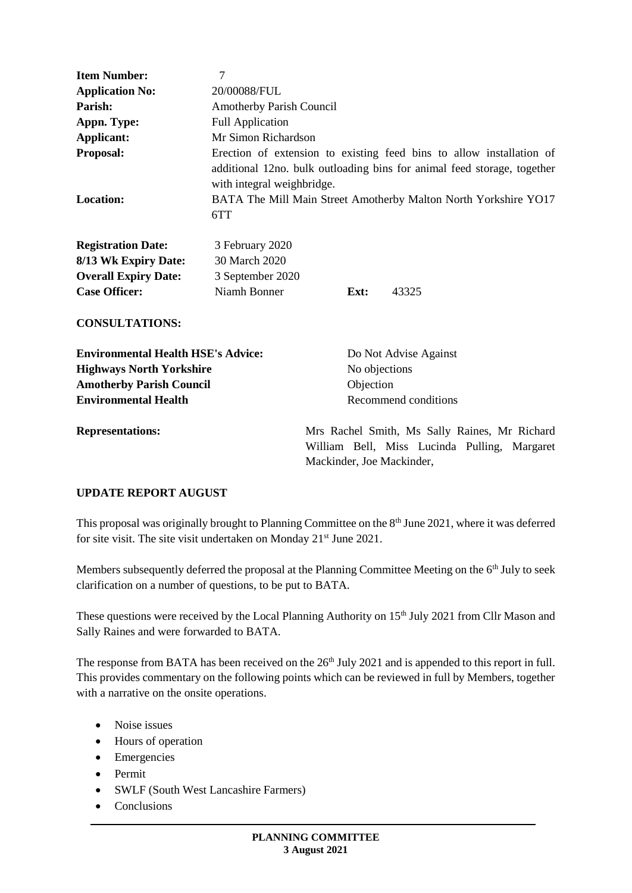| <b>Item Number:</b>                       | 7                                                                                                                                                                               |      |                                             |  |  |
|-------------------------------------------|---------------------------------------------------------------------------------------------------------------------------------------------------------------------------------|------|---------------------------------------------|--|--|
| <b>Application No:</b>                    | 20/00088/FUL                                                                                                                                                                    |      |                                             |  |  |
| Parish:                                   | Amotherby Parish Council                                                                                                                                                        |      |                                             |  |  |
| Appn. Type:                               | <b>Full Application</b>                                                                                                                                                         |      |                                             |  |  |
| Applicant:                                | Mr Simon Richardson                                                                                                                                                             |      |                                             |  |  |
| Proposal:                                 | Erection of extension to existing feed bins to allow installation of                                                                                                            |      |                                             |  |  |
| Location:                                 | additional 12no. bulk outloading bins for animal feed storage, together<br>with integral weighbridge.<br>BATA The Mill Main Street Amotherby Malton North Yorkshire YO17<br>6TT |      |                                             |  |  |
| <b>Registration Date:</b>                 | 3 February 2020                                                                                                                                                                 |      |                                             |  |  |
| 8/13 Wk Expiry Date:                      | 30 March 2020                                                                                                                                                                   |      |                                             |  |  |
| <b>Overall Expiry Date:</b>               | 3 September 2020                                                                                                                                                                |      |                                             |  |  |
| <b>Case Officer:</b>                      | Niamh Bonner                                                                                                                                                                    | Ext: | 43325                                       |  |  |
| <b>CONSULTATIONS:</b>                     |                                                                                                                                                                                 |      |                                             |  |  |
| <b>Environmental Health HSE's Advice:</b> |                                                                                                                                                                                 |      | Do Not Advise Against                       |  |  |
| <b>Highways North Yorkshire</b>           |                                                                                                                                                                                 |      | No objections                               |  |  |
| <b>Amotherby Parish Council</b>           |                                                                                                                                                                                 |      | Objection                                   |  |  |
| <b>Environmental Health</b>               |                                                                                                                                                                                 |      | Recommend conditions                        |  |  |
| Representations.                          |                                                                                                                                                                                 |      | Mrs Rachel Smith Ms Sally Raines Mr Richard |  |  |

**Representations:** Mrs Rachel Smith, Ms Sally Raines, Mr Richard William Bell, Miss Lucinda Pulling, Margaret Mackinder, Joe Mackinder,

## **UPDATE REPORT AUGUST**

This proposal was originally brought to Planning Committee on the 8<sup>th</sup> June 2021, where it was deferred for site visit. The site visit undertaken on Monday 21<sup>st</sup> June 2021.

Members subsequently deferred the proposal at the Planning Committee Meeting on the 6<sup>th</sup> July to seek clarification on a number of questions, to be put to BATA.

These questions were received by the Local Planning Authority on 15<sup>th</sup> July 2021 from Cllr Mason and Sally Raines and were forwarded to BATA.

The response from BATA has been received on the 26<sup>th</sup> July 2021 and is appended to this report in full. This provides commentary on the following points which can be reviewed in full by Members, together with a narrative on the onsite operations.

- Noise issues
- Hours of operation
- Emergencies
- Permit
- SWLF (South West Lancashire Farmers)
- Conclusions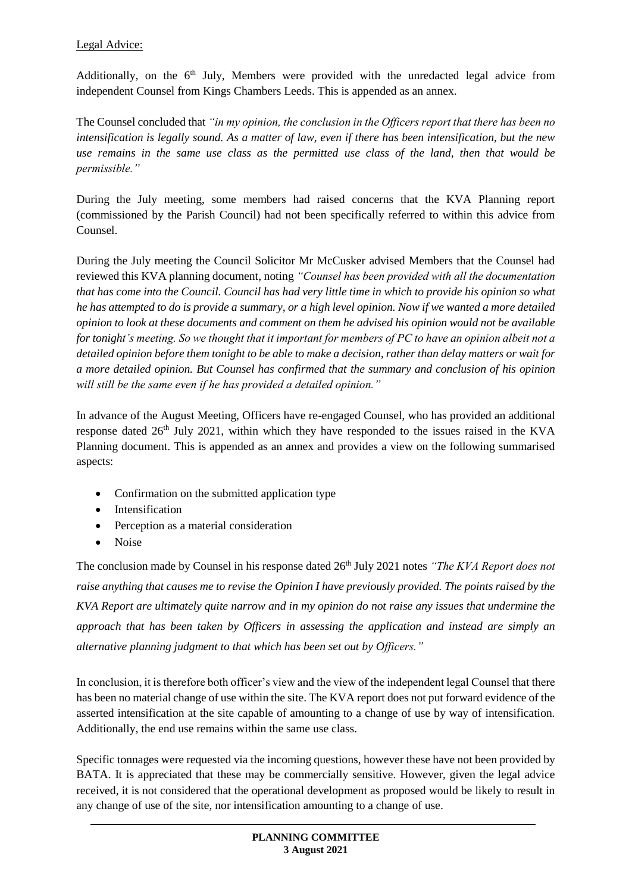### Legal Advice:

Additionally, on the  $6<sup>th</sup>$  July, Members were provided with the unredacted legal advice from independent Counsel from Kings Chambers Leeds. This is appended as an annex.

The Counsel concluded that *"in my opinion, the conclusion in the Officers report that there has been no intensification is legally sound. As a matter of law, even if there has been intensification, but the new use remains in the same use class as the permitted use class of the land, then that would be permissible."* 

During the July meeting, some members had raised concerns that the KVA Planning report (commissioned by the Parish Council) had not been specifically referred to within this advice from Counsel.

During the July meeting the Council Solicitor Mr McCusker advised Members that the Counsel had reviewed this KVA planning document, noting *"Counsel has been provided with all the documentation that has come into the Council. Council has had very little time in which to provide his opinion so what he has attempted to do is provide a summary, or a high level opinion. Now if we wanted a more detailed opinion to look at these documents and comment on them he advised his opinion would not be available for tonight's meeting. So we thought that it important for members of PC to have an opinion albeit not a detailed opinion before them tonight to be able to make a decision, rather than delay matters or wait for a more detailed opinion. But Counsel has confirmed that the summary and conclusion of his opinion will still be the same even if he has provided a detailed opinion."*

In advance of the August Meeting, Officers have re-engaged Counsel, who has provided an additional response dated 26<sup>th</sup> July 2021, within which they have responded to the issues raised in the KVA Planning document. This is appended as an annex and provides a view on the following summarised aspects:

- Confirmation on the submitted application type
- Intensification
- Perception as a material consideration
- Noise

The conclusion made by Counsel in his response dated 26<sup>th</sup> July 2021 notes *"The KVA Report does not raise anything that causes me to revise the Opinion I have previously provided. The points raised by the KVA Report are ultimately quite narrow and in my opinion do not raise any issues that undermine the approach that has been taken by Officers in assessing the application and instead are simply an alternative planning judgment to that which has been set out by Officers."*

In conclusion, it is therefore both officer's view and the view of the independent legal Counsel that there has been no material change of use within the site. The KVA report does not put forward evidence of the asserted intensification at the site capable of amounting to a change of use by way of intensification. Additionally, the end use remains within the same use class.

Specific tonnages were requested via the incoming questions, however these have not been provided by BATA. It is appreciated that these may be commercially sensitive. However, given the legal advice received, it is not considered that the operational development as proposed would be likely to result in any change of use of the site, nor intensification amounting to a change of use.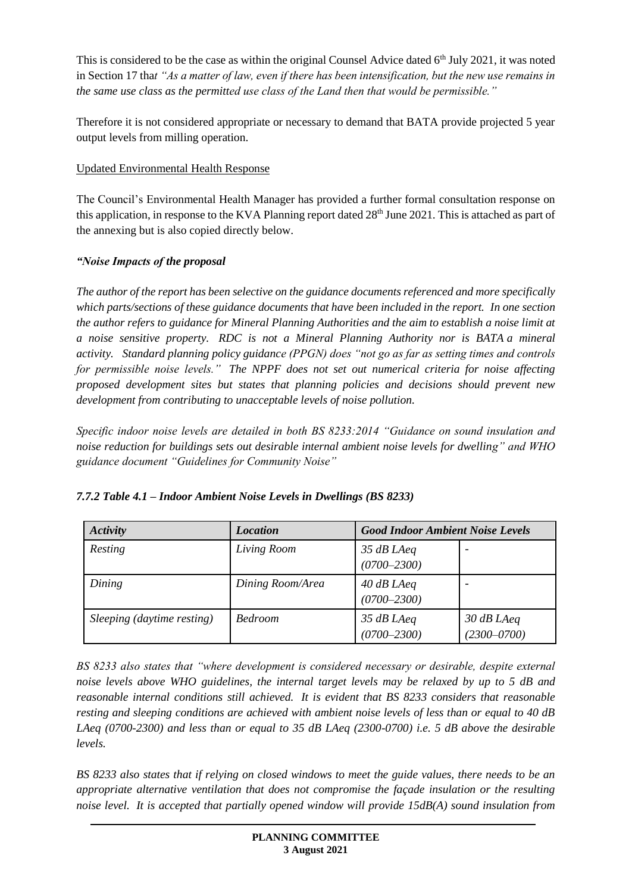This is considered to be the case as within the original Counsel Advice dated 6<sup>th</sup> July 2021, it was noted in Section 17 tha*t "As a matter of law, even if there has been intensification, but the new use remains in the same use class as the permitted use class of the Land then that would be permissible."*

Therefore it is not considered appropriate or necessary to demand that BATA provide projected 5 year output levels from milling operation.

# Updated Environmental Health Response

The Council's Environmental Health Manager has provided a further formal consultation response on this application, in response to the KVA Planning report dated 28<sup>th</sup> June 2021. This is attached as part of the annexing but is also copied directly below.

# *"Noise Impacts of the proposal*

*The author of the report has been selective on the guidance documents referenced and more specifically which parts/sections of these guidance documents that have been included in the report. In one section the author refers to guidance for Mineral Planning Authorities and the aim to establish a noise limit at a noise sensitive property. RDC is not a Mineral Planning Authority nor is BATA a mineral activity. Standard planning policy guidance (PPGN) does "not go as far as setting times and controls for permissible noise levels." The NPPF does not set out numerical criteria for noise affecting proposed development sites but states that planning policies and decisions should prevent new development from contributing to unacceptable levels of noise pollution.* 

*Specific indoor noise levels are detailed in both BS 8233:2014 "Guidance on sound insulation and noise reduction for buildings sets out desirable internal ambient noise levels for dwelling" and WHO guidance document "Guidelines for Community Noise"* 

| Activity                   | <i>Location</i>  | <b>Good Indoor Ambient Noise Levels</b> |                                 |  |
|----------------------------|------------------|-----------------------------------------|---------------------------------|--|
| Resting                    | Living Room      | $35$ dB LAeq<br>$(0700 - 2300)$         |                                 |  |
| Dining                     | Dining Room/Area | $40$ dB LAeq<br>$(0700 - 2300)$         |                                 |  |
| Sleeping (daytime resting) | <b>Bedroom</b>   | 35 dB LAeq<br>$(0700 - 2300)$           | $30$ dB LAeq<br>$(2300 - 0700)$ |  |

## *7.7.2 Table 4.1 – Indoor Ambient Noise Levels in Dwellings (BS 8233)*

*BS 8233 also states that "where development is considered necessary or desirable, despite external noise levels above WHO guidelines, the internal target levels may be relaxed by up to 5 dB and reasonable internal conditions still achieved. It is evident that BS 8233 considers that reasonable resting and sleeping conditions are achieved with ambient noise levels of less than or equal to 40 dB LAeq (0700-2300) and less than or equal to 35 dB LAeq (2300-0700) i.e. 5 dB above the desirable levels.*

*BS 8233 also states that if relying on closed windows to meet the guide values, there needs to be an appropriate alternative ventilation that does not compromise the façade insulation or the resulting noise level. It is accepted that partially opened window will provide 15dB(A) sound insulation from*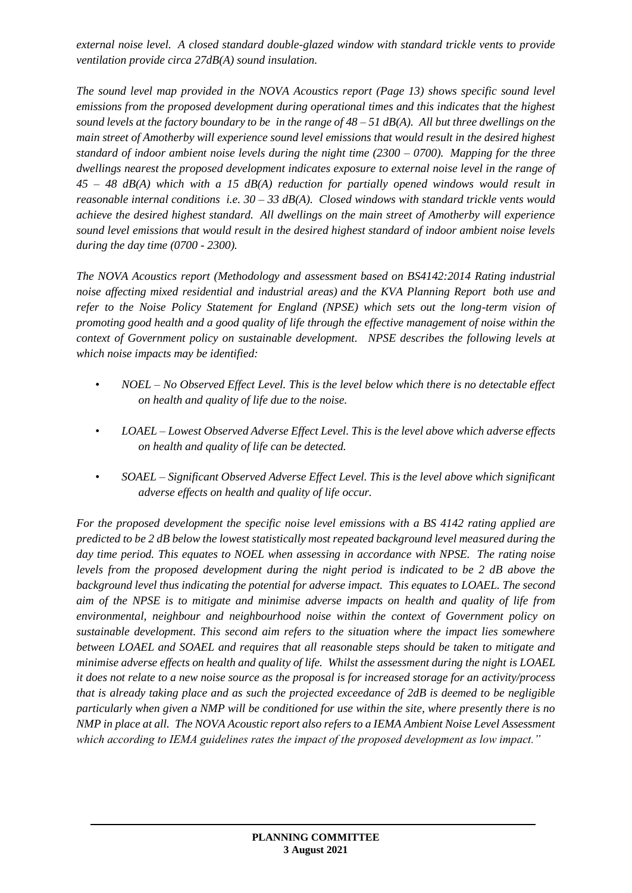*external noise level. A closed standard double-glazed window with standard trickle vents to provide ventilation provide circa 27dB(A) sound insulation.*

*The sound level map provided in the NOVA Acoustics report (Page 13) shows specific sound level emissions from the proposed development during operational times and this indicates that the highest sound levels at the factory boundary to be in the range of 48 – 51 dB(A). All but three dwellings on the main street of Amotherby will experience sound level emissions that would result in the desired highest standard of indoor ambient noise levels during the night time (2300 – 0700). Mapping for the three dwellings nearest the proposed development indicates exposure to external noise level in the range of 45 – 48 dB(A) which with a 15 dB(A) reduction for partially opened windows would result in reasonable internal conditions i.e. 30 – 33 dB(A). Closed windows with standard trickle vents would achieve the desired highest standard. All dwellings on the main street of Amotherby will experience sound level emissions that would result in the desired highest standard of indoor ambient noise levels during the day time (0700 - 2300).*

*The NOVA Acoustics report (Methodology and assessment based on BS4142:2014 Rating industrial noise affecting mixed residential and industrial areas) and the KVA Planning Report both use and refer to the Noise Policy Statement for England (NPSE) which sets out the long-term vision of promoting good health and a good quality of life through the effective management of noise within the context of Government policy on sustainable development. NPSE describes the following levels at which noise impacts may be identified:*

- *NOEL – No Observed Effect Level. This is the level below which there is no detectable effect on health and quality of life due to the noise.*
- *LOAEL – Lowest Observed Adverse Effect Level. This is the level above which adverse effects on health and quality of life can be detected.*
- *SOAEL – Significant Observed Adverse Effect Level. This is the level above which significant adverse effects on health and quality of life occur.*

*For the proposed development the specific noise level emissions with a BS 4142 rating applied are predicted to be 2 dB below the lowest statistically most repeated background level measured during the day time period. This equates to NOEL when assessing in accordance with NPSE. The rating noise levels from the proposed development during the night period is indicated to be 2 dB above the background level thus indicating the potential for adverse impact. This equates to LOAEL. The second aim of the NPSE is to mitigate and minimise adverse impacts on health and quality of life from environmental, neighbour and neighbourhood noise within the context of Government policy on sustainable development. This second aim refers to the situation where the impact lies somewhere between LOAEL and SOAEL and requires that all reasonable steps should be taken to mitigate and minimise adverse effects on health and quality of life. Whilst the assessment during the night is LOAEL it does not relate to a new noise source as the proposal is for increased storage for an activity/process that is already taking place and as such the projected exceedance of 2dB is deemed to be negligible particularly when given a NMP will be conditioned for use within the site, where presently there is no NMP in place at all. The NOVA Acoustic report also refers to a IEMA Ambient Noise Level Assessment which according to IEMA guidelines rates the impact of the proposed development as low impact."*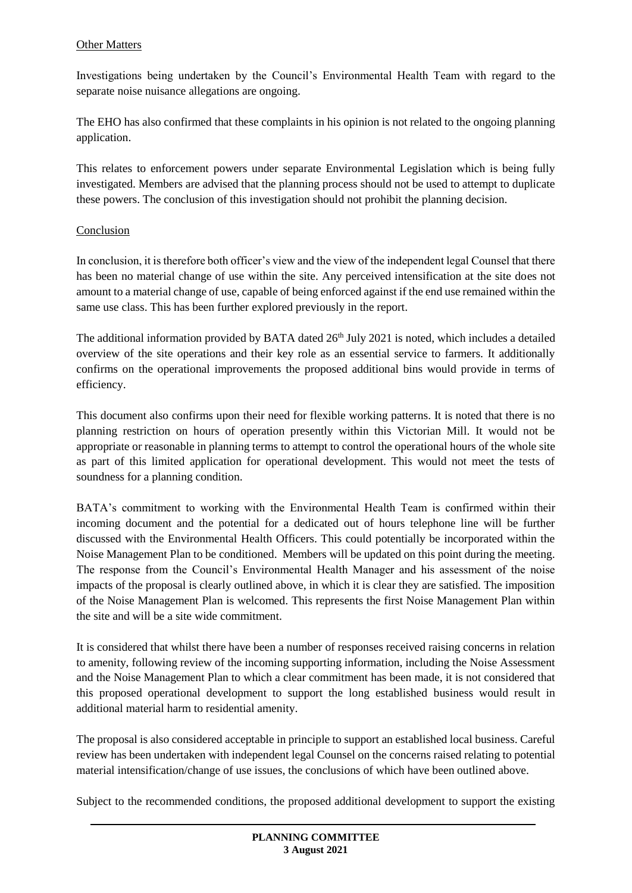### Other Matters

Investigations being undertaken by the Council's Environmental Health Team with regard to the separate noise nuisance allegations are ongoing.

The EHO has also confirmed that these complaints in his opinion is not related to the ongoing planning application.

This relates to enforcement powers under separate Environmental Legislation which is being fully investigated. Members are advised that the planning process should not be used to attempt to duplicate these powers. The conclusion of this investigation should not prohibit the planning decision.

### Conclusion

In conclusion, it is therefore both officer's view and the view of the independent legal Counsel that there has been no material change of use within the site. Any perceived intensification at the site does not amount to a material change of use, capable of being enforced against if the end use remained within the same use class. This has been further explored previously in the report.

The additional information provided by BATA dated 26<sup>th</sup> July 2021 is noted, which includes a detailed overview of the site operations and their key role as an essential service to farmers. It additionally confirms on the operational improvements the proposed additional bins would provide in terms of efficiency.

This document also confirms upon their need for flexible working patterns. It is noted that there is no planning restriction on hours of operation presently within this Victorian Mill. It would not be appropriate or reasonable in planning terms to attempt to control the operational hours of the whole site as part of this limited application for operational development. This would not meet the tests of soundness for a planning condition.

BATA's commitment to working with the Environmental Health Team is confirmed within their incoming document and the potential for a dedicated out of hours telephone line will be further discussed with the Environmental Health Officers. This could potentially be incorporated within the Noise Management Plan to be conditioned. Members will be updated on this point during the meeting. The response from the Council's Environmental Health Manager and his assessment of the noise impacts of the proposal is clearly outlined above, in which it is clear they are satisfied. The imposition of the Noise Management Plan is welcomed. This represents the first Noise Management Plan within the site and will be a site wide commitment.

It is considered that whilst there have been a number of responses received raising concerns in relation to amenity, following review of the incoming supporting information, including the Noise Assessment and the Noise Management Plan to which a clear commitment has been made, it is not considered that this proposed operational development to support the long established business would result in additional material harm to residential amenity.

The proposal is also considered acceptable in principle to support an established local business. Careful review has been undertaken with independent legal Counsel on the concerns raised relating to potential material intensification/change of use issues, the conclusions of which have been outlined above.

Subject to the recommended conditions, the proposed additional development to support the existing